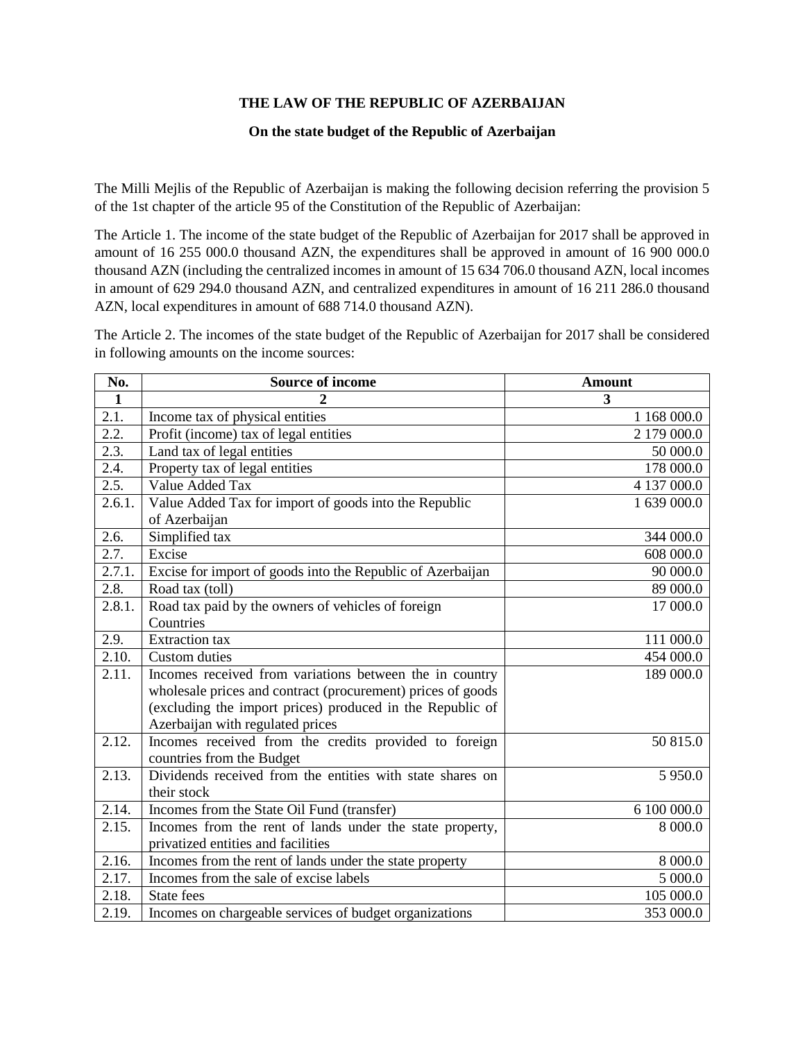## **THE LAW OF THE REPUBLIC OF AZERBAIJAN**

## **On the state budget of the Republic of Azerbaijan**

The Milli Mejlis of the Republic of Azerbaijan is making the following decision referring the provision 5 of the 1st chapter of the article 95 of the Constitution of the Republic of Azerbaijan:

The Article 1. The income of the state budget of the Republic of Azerbaijan for 2017 shall be approved in amount of 16 255 000.0 thousand AZN, the expenditures shall be approved in amount of 16 900 000.0 thousand AZN (including the centralized incomes in amount of 15 634 706.0 thousand AZN, local incomes in amount of 629 294.0 thousand AZN, and centralized expenditures in amount of 16 211 286.0 thousand AZN, local expenditures in amount of 688 714.0 thousand AZN).

The Article 2. The incomes of the state budget of the Republic of Azerbaijan for 2017 shall be considered in following amounts on the income sources:

| No.                | <b>Source of income</b>                                     | <b>Amount</b> |  |  |
|--------------------|-------------------------------------------------------------|---------------|--|--|
| $\mathbf{1}$       |                                                             | 3             |  |  |
| 2.1.               | Income tax of physical entities                             | 1 168 000.0   |  |  |
| 2.2.               | Profit (income) tax of legal entities                       | 2 179 000.0   |  |  |
| $\overline{2.3}$ . | Land tax of legal entities                                  | 50 000.0      |  |  |
| 2.4.               | Property tax of legal entities                              | 178 000.0     |  |  |
| 2.5.               | Value Added Tax                                             | 4 137 000.0   |  |  |
| 2.6.1.             | Value Added Tax for import of goods into the Republic       | 1 639 000.0   |  |  |
|                    | of Azerbaijan                                               |               |  |  |
| 2.6.               | Simplified tax                                              | 344 000.0     |  |  |
| $\overline{2.7}$ . | Excise                                                      | 608 000.0     |  |  |
| 2.7.1.             | Excise for import of goods into the Republic of Azerbaijan  | 90 000.0      |  |  |
| 2.8.               | Road tax (toll)                                             | 89 000.0      |  |  |
| 2.8.1.             | Road tax paid by the owners of vehicles of foreign          | 17 000.0      |  |  |
|                    | Countries                                                   |               |  |  |
| 2.9.               | <b>Extraction</b> tax                                       | 111 000.0     |  |  |
| $\overline{2}.10.$ | <b>Custom</b> duties                                        | 454 000.0     |  |  |
| 2.11.              | Incomes received from variations between the in country     | 189 000.0     |  |  |
|                    | wholesale prices and contract (procurement) prices of goods |               |  |  |
|                    | (excluding the import prices) produced in the Republic of   |               |  |  |
|                    | Azerbaijan with regulated prices                            |               |  |  |
| 2.12.              | Incomes received from the credits provided to foreign       | 50 815.0      |  |  |
|                    | countries from the Budget                                   |               |  |  |
| 2.13.              | Dividends received from the entities with state shares on   | 5 9 5 0.0     |  |  |
|                    | their stock                                                 |               |  |  |
| 2.14.              | Incomes from the State Oil Fund (transfer)                  | 6 100 000.0   |  |  |
| 2.15.              | Incomes from the rent of lands under the state property,    | 8 000.0       |  |  |
|                    | privatized entities and facilities                          |               |  |  |
| 2.16.              | Incomes from the rent of lands under the state property     | 8 000.0       |  |  |
| 2.17.              | Incomes from the sale of excise labels                      | 5000.0        |  |  |
| 2.18.              | State fees                                                  | 105 000.0     |  |  |
| 2.19.              | Incomes on chargeable services of budget organizations      | 353 000.0     |  |  |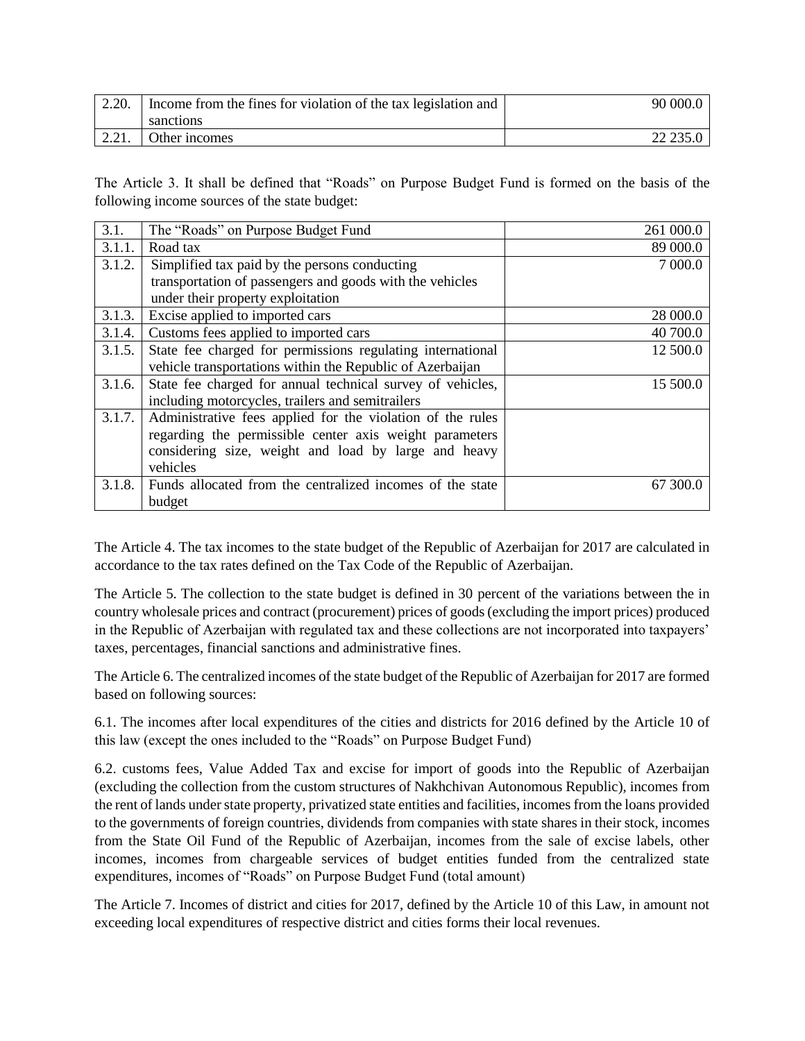| 2.20. | Income from the fines for violation of the tax legislation and | 90 000.0 |
|-------|----------------------------------------------------------------|----------|
|       | sanctions                                                      |          |
| 2.21. | Other incomes                                                  | 22 235.0 |

The Article 3. It shall be defined that "Roads" on Purpose Budget Fund is formed on the basis of the following income sources of the state budget:

| 3.1.   | The "Roads" on Purpose Budget Fund                         | 261 000.0 |
|--------|------------------------------------------------------------|-----------|
| 3.1.1. | Road tax                                                   | 89 000.0  |
| 3.1.2. | Simplified tax paid by the persons conducting              | 7 000.0   |
|        | transportation of passengers and goods with the vehicles   |           |
|        | under their property exploitation                          |           |
| 3.1.3. | Excise applied to imported cars                            | 28 000.0  |
| 3.1.4. | Customs fees applied to imported cars                      | 40 700.0  |
| 3.1.5. | State fee charged for permissions regulating international | 12 500.0  |
|        | vehicle transportations within the Republic of Azerbaijan  |           |
| 3.1.6. | State fee charged for annual technical survey of vehicles, | 15 500.0  |
|        | including motorcycles, trailers and semitrailers           |           |
| 3.1.7. | Administrative fees applied for the violation of the rules |           |
|        | regarding the permissible center axis weight parameters    |           |
|        | considering size, weight and load by large and heavy       |           |
|        | vehicles                                                   |           |
| 3.1.8. | Funds allocated from the centralized incomes of the state  | 67 300.0  |
|        | budget                                                     |           |

The Article 4. The tax incomes to the state budget of the Republic of Azerbaijan for 2017 are calculated in accordance to the tax rates defined on the Tax Code of the Republic of Azerbaijan.

The Article 5. The collection to the state budget is defined in 30 percent of the variations between the in country wholesale prices and contract (procurement) prices of goods (excluding the import prices) produced in the Republic of Azerbaijan with regulated tax and these collections are not incorporated into taxpayers' taxes, percentages, financial sanctions and administrative fines.

The Article 6. The centralized incomes of the state budget of the Republic of Azerbaijan for 2017 are formed based on following sources:

6.1. The incomes after local expenditures of the cities and districts for 2016 defined by the Article 10 of this law (except the ones included to the "Roads" on Purpose Budget Fund)

6.2. customs fees, Value Added Tax and excise for import of goods into the Republic of Azerbaijan (excluding the collection from the custom structures of Nakhchivan Autonomous Republic), incomes from the rent of lands under state property, privatized state entities and facilities, incomes from the loans provided to the governments of foreign countries, dividends from companies with state shares in their stock, incomes from the State Oil Fund of the Republic of Azerbaijan, incomes from the sale of excise labels, other incomes, incomes from chargeable services of budget entities funded from the centralized state expenditures, incomes of "Roads" on Purpose Budget Fund (total amount)

The Article 7. Incomes of district and cities for 2017, defined by the Article 10 of this Law, in amount not exceeding local expenditures of respective district and cities forms their local revenues.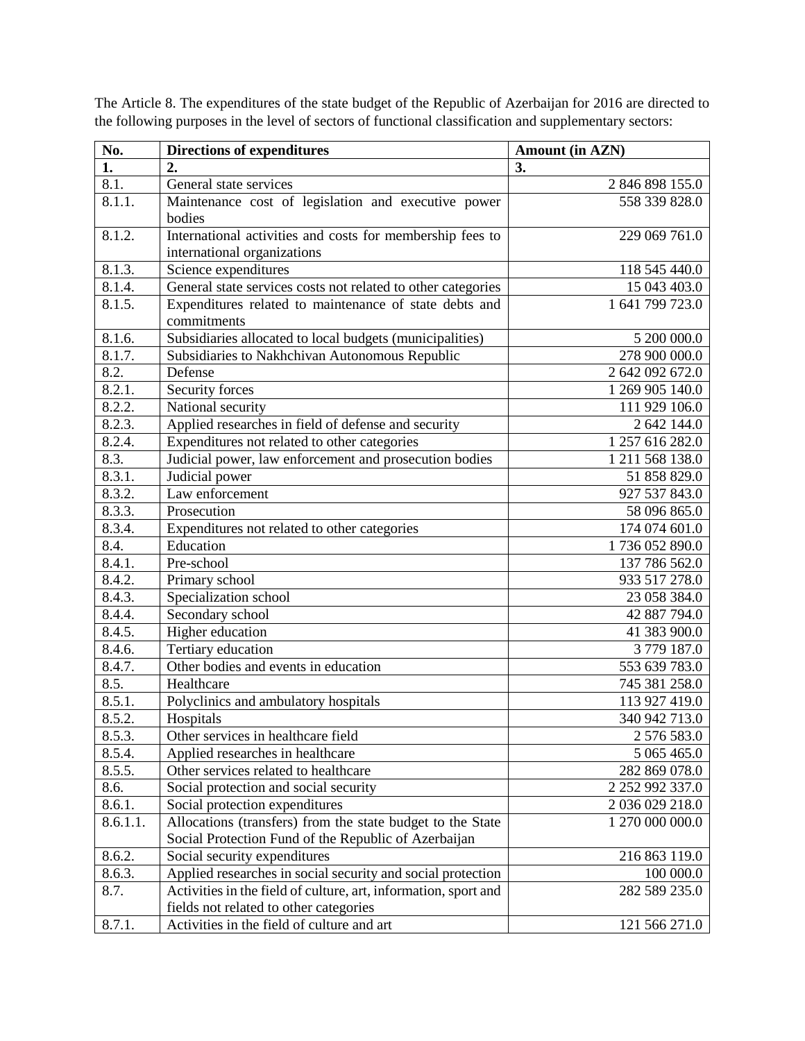| No.      | <b>Directions of expenditures</b>                                             | <b>Amount (in AZN)</b> |  |
|----------|-------------------------------------------------------------------------------|------------------------|--|
| 1.       | 2.                                                                            | 3.                     |  |
| 8.1.     | General state services                                                        | 2 846 898 155.0        |  |
| 8.1.1.   | Maintenance cost of legislation and executive power                           | 558 339 828.0          |  |
|          | bodies                                                                        |                        |  |
| 8.1.2.   | International activities and costs for membership fees to                     | 229 069 761.0          |  |
|          | international organizations                                                   |                        |  |
| 8.1.3.   | Science expenditures                                                          | 118 545 440.0          |  |
| 8.1.4.   | General state services costs not related to other categories                  | 15 043 403.0           |  |
| 8.1.5.   | Expenditures related to maintenance of state debts and                        | 1 641 799 723.0        |  |
|          | commitments                                                                   |                        |  |
| 8.1.6.   | Subsidiaries allocated to local budgets (municipalities)                      | 5 200 000.0            |  |
| 8.1.7.   | Subsidiaries to Nakhchivan Autonomous Republic                                | 278 900 000.0          |  |
| 8.2.     | Defense                                                                       | 2 642 092 672.0        |  |
| 8.2.1.   | Security forces                                                               | 1 269 905 140.0        |  |
| 8.2.2.   | National security                                                             | 111 929 106.0          |  |
| 8.2.3.   | Applied researches in field of defense and security                           | 2 642 144.0            |  |
| 8.2.4.   | Expenditures not related to other categories                                  | 1 257 616 282.0        |  |
| 8.3.     | Judicial power, law enforcement and prosecution bodies                        | 1 211 568 138.0        |  |
| 8.3.1.   | Judicial power                                                                | 51 858 829.0           |  |
| 8.3.2.   | Law enforcement                                                               | 927 537 843.0          |  |
| 8.3.3.   | Prosecution                                                                   | 58 096 865.0           |  |
| 8.3.4.   | Expenditures not related to other categories                                  | 174 074 601.0          |  |
| 8.4.     | Education                                                                     | 1736 052 890.0         |  |
| 8.4.1.   | Pre-school                                                                    | 137 786 562.0          |  |
| 8.4.2.   | Primary school                                                                | 933 517 278.0          |  |
| 8.4.3.   | Specialization school                                                         | 23 058 384.0           |  |
| 8.4.4.   | Secondary school                                                              | 42 887 794.0           |  |
| 8.4.5.   | Higher education                                                              | 41 383 900.0           |  |
| 8.4.6.   | Tertiary education                                                            | 3779187.0              |  |
| 8.4.7.   | Other bodies and events in education                                          | 553 639 783.0          |  |
| 8.5.     | Healthcare                                                                    | 745 381 258.0          |  |
| 8.5.1.   | Polyclinics and ambulatory hospitals                                          | 113 927 419.0          |  |
| 8.5.2.   | Hospitals                                                                     | 340 942 713.0          |  |
| 8.5.3.   | Other services in healthcare field                                            | 2 576 583.0            |  |
| 8.5.4.   | Applied researches in healthcare                                              | 5 065 465.0            |  |
| 8.5.5.   | Other services related to healthcare                                          | 282 869 078.0          |  |
| 8.6.     | Social protection and social security                                         | 2 252 992 337.0        |  |
| 8.6.1.   | Social protection expenditures                                                | 2 036 029 218.0        |  |
| 8.6.1.1. | Allocations (transfers) from the state budget to the State<br>1 270 000 000.0 |                        |  |
|          | Social Protection Fund of the Republic of Azerbaijan                          |                        |  |
| 8.6.2.   | Social security expenditures                                                  | 216 863 119.0          |  |
| 8.6.3.   | Applied researches in social security and social protection                   | 100 000.0              |  |
| 8.7.     | Activities in the field of culture, art, information, sport and               | 282 589 235.0          |  |
|          | fields not related to other categories                                        |                        |  |
| 8.7.1.   | Activities in the field of culture and art                                    | 121 566 271.0          |  |

The Article 8. The expenditures of the state budget of the Republic of Azerbaijan for 2016 are directed to the following purposes in the level of sectors of functional classification and supplementary sectors: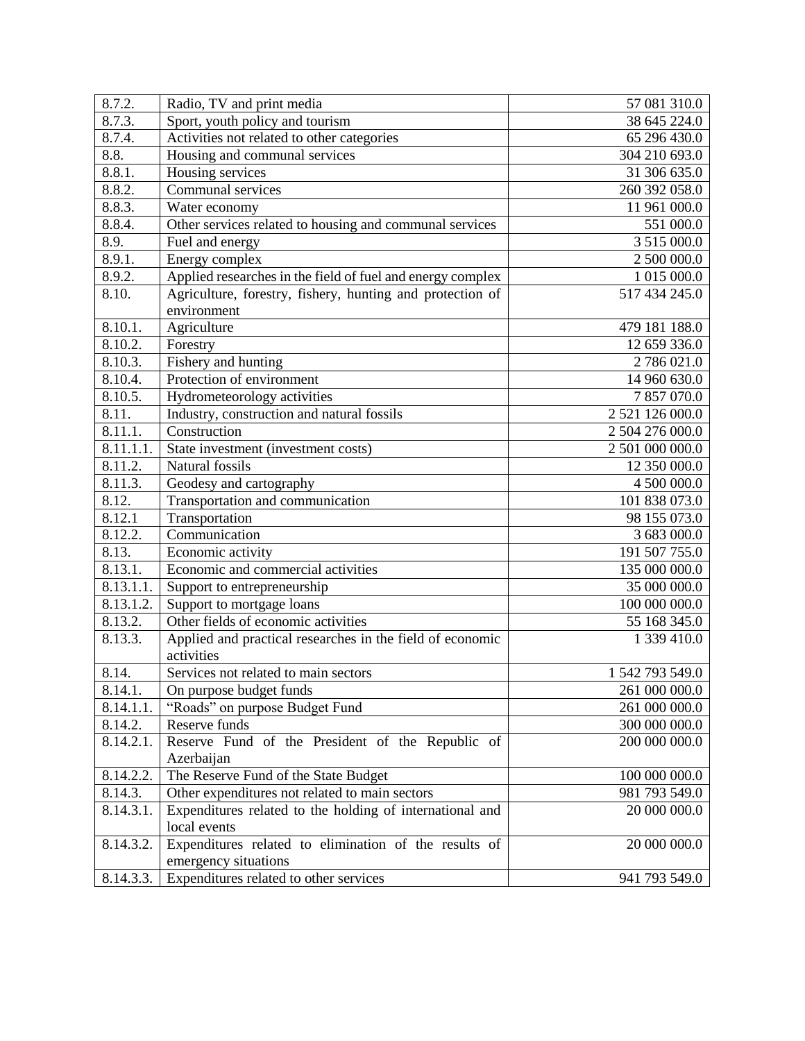| 8.7.2.                  | Radio, TV and print media                                  | 57 081 310.0    |
|-------------------------|------------------------------------------------------------|-----------------|
| 8.7.3.                  | Sport, youth policy and tourism                            | 38 645 224.0    |
| 8.7.4.                  | Activities not related to other categories                 | 65 296 430.0    |
| 8.8.                    | Housing and communal services                              | 304 210 693.0   |
| 8.8.1.                  | Housing services                                           | 31 306 635.0    |
| 8.8.2.                  | Communal services                                          | 260 392 058.0   |
| 8.8.3.                  | Water economy                                              | 11 961 000.0    |
| 8.8.4.                  | Other services related to housing and communal services    | 551 000.0       |
| 8.9.                    | Fuel and energy                                            | 3 515 000.0     |
| 8.9.1.                  | Energy complex                                             | 2 500 000.0     |
| 8.9.2.                  | Applied researches in the field of fuel and energy complex | 1 015 000.0     |
| 8.10.                   | Agriculture, forestry, fishery, hunting and protection of  | 517 434 245.0   |
|                         | environment                                                |                 |
| 8.10.1.                 | Agriculture                                                | 479 181 188.0   |
| 8.10.2.                 | Forestry                                                   | 12 659 336.0    |
| 8.10.3.                 | Fishery and hunting                                        | 2 786 021.0     |
| 8.10.4.                 | Protection of environment                                  | 14 960 630.0    |
| 8.10.5.                 | Hydrometeorology activities                                | 7 857 070.0     |
| 8.11.                   | Industry, construction and natural fossils                 | 2 521 126 000.0 |
| 8.11.1.                 | Construction                                               | 2 504 276 000.0 |
| 8.11.1.1.               | State investment (investment costs)                        | 2 501 000 000.0 |
| 8.11.2.                 | Natural fossils                                            | 12 350 000.0    |
| 8.11.3.                 | Geodesy and cartography                                    | 4 500 000.0     |
| 8.12.                   | Transportation and communication                           | 101 838 073.0   |
| 8.12.1                  | Transportation                                             | 98 155 073.0    |
| 8.12.2.                 | Communication                                              | 3 683 000.0     |
| 8.13.                   | Economic activity                                          | 191 507 755.0   |
| 8.13.1.                 | Economic and commercial activities                         | 135 000 000.0   |
| $\overline{8.13.1.1}$ . | Support to entrepreneurship                                | 35 000 000.0    |
| 8.13.1.2.               | Support to mortgage loans                                  | 100 000 000.0   |
| 8.13.2.                 | Other fields of economic activities                        | 55 168 345.0    |
| 8.13.3.                 | Applied and practical researches in the field of economic  | 1 339 410.0     |
|                         | activities                                                 |                 |
| 8.14.                   | Services not related to main sectors                       | 1 542 793 549.0 |
| 8.14.1.                 | On purpose budget funds                                    | 261 000 000.0   |
| 8.14.1.1.               | "Roads" on purpose Budget Fund                             | 261 000 000.0   |
| 8.14.2.                 | Reserve funds                                              | 300 000 000.0   |
| 8.14.2.1.               | Reserve Fund of the President of the Republic of           | 200 000 000.0   |
|                         | Azerbaijan                                                 |                 |
| 8.14.2.2.               | The Reserve Fund of the State Budget                       | 100 000 000.0   |
| 8.14.3.                 | Other expenditures not related to main sectors             | 981 793 549.0   |
| 8.14.3.1.               | Expenditures related to the holding of international and   | 20 000 000.0    |
|                         | local events                                               |                 |
| 8.14.3.2.               | Expenditures related to elimination of the results of      | 20 000 000.0    |
|                         | emergency situations                                       |                 |
| 8.14.3.3.               | Expenditures related to other services                     | 941 793 549.0   |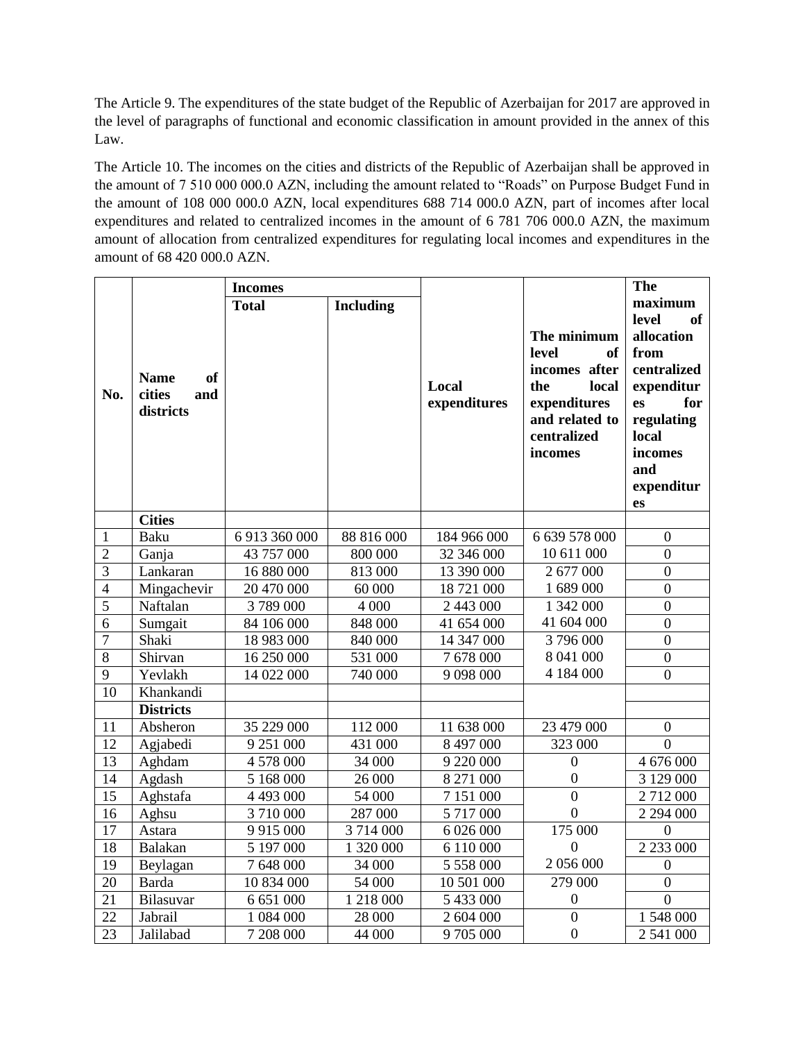The Article 9. The expenditures of the state budget of the Republic of Azerbaijan for 2017 are approved in the level of paragraphs of functional and economic classification in amount provided in the annex of this Law.

The Article 10. The incomes on the cities and districts of the Republic of Azerbaijan shall be approved in the amount of 7 510 000 000.0 AZN, including the amount related to "Roads" on Purpose Budget Fund in the amount of 108 000 000.0 AZN, local expenditures 688 714 000.0 AZN, part of incomes after local expenditures and related to centralized incomes in the amount of 6 781 706 000.0 AZN, the maximum amount of allocation from centralized expenditures for regulating local incomes and expenditures in the amount of 68 420 000.0 AZN.

|                 |                                                        | <b>Incomes</b> |                  |                        |                                                                                                                                | <b>The</b>                                                                                                                                                 |
|-----------------|--------------------------------------------------------|----------------|------------------|------------------------|--------------------------------------------------------------------------------------------------------------------------------|------------------------------------------------------------------------------------------------------------------------------------------------------------|
| No.             | <b>Name</b><br><b>of</b><br>cities<br>and<br>districts | <b>Total</b>   | <b>Including</b> | Local<br>expenditures  | The minimum<br>level<br><b>of</b><br>incomes after<br>local<br>the<br>expenditures<br>and related to<br>centralized<br>incomes | maximum<br>of<br>level<br>allocation<br>from<br>centralized<br>expenditur<br>for<br>es<br>regulating<br>local<br>incomes<br>and<br>expenditur<br><b>es</b> |
|                 | <b>Cities</b>                                          |                |                  |                        |                                                                                                                                |                                                                                                                                                            |
| 1               | <b>Baku</b>                                            | 6 913 360 000  | 88 816 000       | 184 966 000            | 6 639 578 000                                                                                                                  | $\boldsymbol{0}$                                                                                                                                           |
| $\overline{2}$  | Ganja                                                  | 43 757 000     | 800 000          | 32 346 000             | 10 611 000                                                                                                                     | $\overline{0}$                                                                                                                                             |
| $\overline{3}$  | Lankaran                                               | 16 880 000     | 813 000          | 13 390 000             | 2 677 000                                                                                                                      | $\boldsymbol{0}$                                                                                                                                           |
| $\overline{4}$  | Mingachevir                                            | 20 470 000     | 60 000           | 18 721 000             | 1 689 000                                                                                                                      | $\overline{0}$                                                                                                                                             |
| $\overline{5}$  | Naftalan                                               | 3789000        | 4 0 0 0          | 2 443 000              | 1 342 000                                                                                                                      | $\overline{0}$                                                                                                                                             |
| $\overline{6}$  | Sumgait                                                | 84 106 000     | 848 000          | 41 654 000             | 41 604 000                                                                                                                     | $\overline{0}$                                                                                                                                             |
| $\overline{7}$  | Shaki                                                  | 18 983 000     | 840 000          | 14 347 000             | 3796000                                                                                                                        | $\overline{0}$                                                                                                                                             |
| 8               | Shirvan                                                | 16 250 000     | 531 000          | $\overline{7}$ 678 000 | 8 041 000                                                                                                                      | $\boldsymbol{0}$                                                                                                                                           |
| 9               | Yevlakh                                                | 14 022 000     | 740 000          | 9 0 9 8 0 0 0          | 4 184 000                                                                                                                      | $\overline{0}$                                                                                                                                             |
| 10              | Khankandi                                              |                |                  |                        |                                                                                                                                |                                                                                                                                                            |
|                 | <b>Districts</b>                                       |                |                  |                        |                                                                                                                                |                                                                                                                                                            |
| 11              | Absheron                                               | 35 229 000     | 112 000          | 11 638 000             | 23 479 000                                                                                                                     | $\boldsymbol{0}$                                                                                                                                           |
| 12              | Agjabedi                                               | 9 251 000      | 431 000          | 8 497 000              | 323 000                                                                                                                        | $\overline{0}$                                                                                                                                             |
| 13              | Aghdam                                                 | 4 578 000      | 34 000           | 9 220 000              | $\mathbf{0}$                                                                                                                   | 4 676 000                                                                                                                                                  |
| 14              | Agdash                                                 | 5 168 000      | 26 000           | 8 271 000              | $\boldsymbol{0}$                                                                                                               | 3 129 000                                                                                                                                                  |
| $\overline{15}$ | Aghstafa                                               | 4 493 000      | 54 000           | 7 151 000              | $\overline{0}$                                                                                                                 | 2 712 000                                                                                                                                                  |
| 16              | Aghsu                                                  | 3710000        | 287 000          | 5 717 000              | $\boldsymbol{0}$                                                                                                               | 2 294 000                                                                                                                                                  |
| 17              | Astara                                                 | 9 9 1 5 0 0 0  | 3714000          | 6 026 000              | 175 000                                                                                                                        | $\overline{0}$                                                                                                                                             |
| 18              | <b>Balakan</b>                                         | 5 197 000      | 1 320 000        | 6 110 000              | $\boldsymbol{0}$                                                                                                               | 2 2 3 3 0 0 0                                                                                                                                              |
| 19              | Beylagan                                               | 7 648 000      | 34 000           | 5 558 000              | 2 056 000                                                                                                                      | $\overline{0}$                                                                                                                                             |
| 20              | <b>Barda</b>                                           | 10 834 000     | 54 000           | 10 501 000             | 279 000                                                                                                                        | $\overline{0}$                                                                                                                                             |
| 21              | Bilasuvar                                              | 6 651 000      | 1 218 000        | 5 433 000              | $\boldsymbol{0}$                                                                                                               | $\overline{0}$                                                                                                                                             |
| 22              | Jabrail                                                | 1 084 000      | 28 000           | 2 604 000              | $\overline{0}$                                                                                                                 | 1 548 000                                                                                                                                                  |
| $2\overline{3}$ | Jalilabad                                              | 7 208 000      | 44 000           | 9705000                | $\boldsymbol{0}$                                                                                                               | 2 541 000                                                                                                                                                  |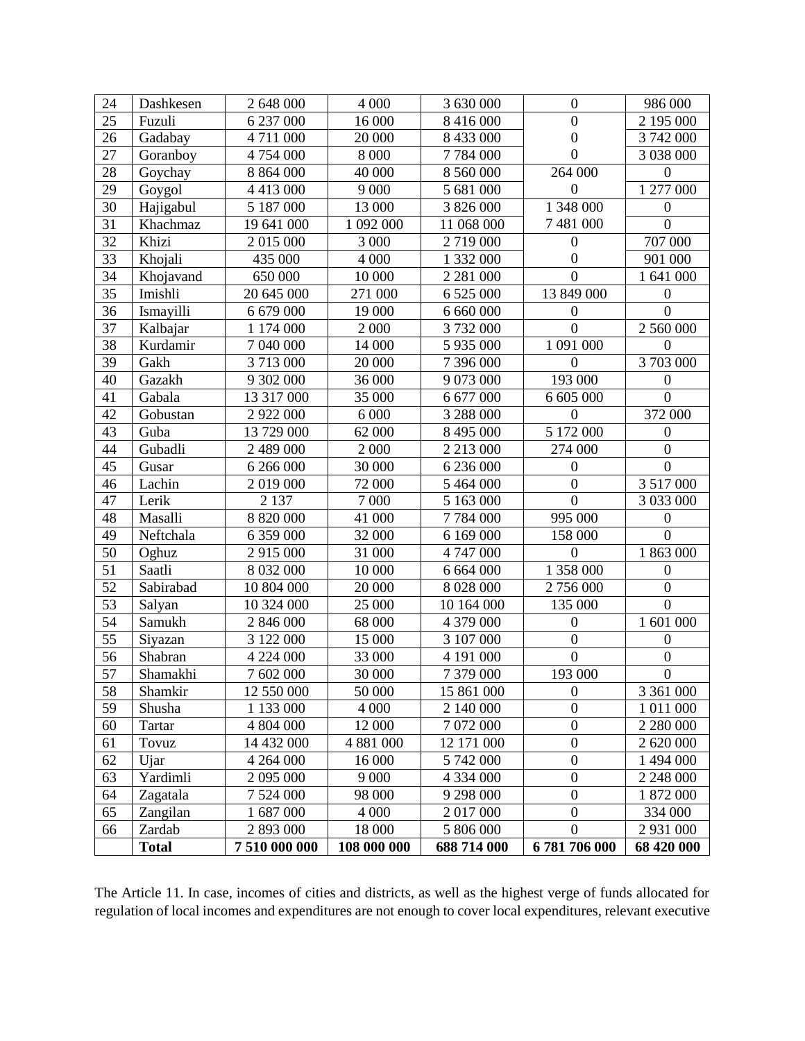|                 | <b>Total</b> | 7510000000    | 108 000 000 | 688 714 000   | 6781706000       | 68 420 000             |
|-----------------|--------------|---------------|-------------|---------------|------------------|------------------------|
| 66              | Zardab       | 2 893 000     | 18 000      | 5 806 000     | $\boldsymbol{0}$ | 2 931 000              |
| 65              | Zangilan     | 1 687 000     | 4 0 0 0     | 2 017 000     | $\boldsymbol{0}$ | 334 000                |
| 64              | Zagatala     | 7 524 000     | 98 000      | 9 298 000     | $\boldsymbol{0}$ | 1 872 000              |
| 63              | Yardimli     | 2 095 000     | 9 0 0 0     | 4 3 3 4 0 0 0 | $\boldsymbol{0}$ | 2 248 000              |
| 62              | Ujar         | 4 264 000     | 16 000      | 5 742 000     | $\boldsymbol{0}$ | 1 494 000              |
| 61              | Tovuz        | 14 432 000    | 4 881 000   | 12 171 000    | $\boldsymbol{0}$ | 2 620 000              |
| 60              | Tartar       | 4 804 000     | 12 000      | 7 072 000     | $\boldsymbol{0}$ | 2 280 000              |
| 59              | Shusha       | 1 133 000     | 4 0 0 0     | 2 140 000     | $\overline{0}$   | 1 011 000              |
| 58              | Shamkir      | 12 550 000    | 50 000      | 15 861 000    | $\boldsymbol{0}$ | 3 361 000              |
| 57              | Shamakhi     | 7 602 000     | 30 000      | 7 379 000     | 193 000          | $\boldsymbol{0}$       |
| 56              | Shabran      | 4 224 000     | 33 000      | 4 191 000     | $\overline{0}$   | $\boldsymbol{0}$       |
| 55              | Siyazan      | 3 122 000     | 15 000      | 3 107 000     | $\boldsymbol{0}$ | $\boldsymbol{0}$       |
| 54              | Samukh       | 2 846 000     | 68 000      | 4 379 000     | $\mathbf{0}$     | 1 601 000              |
| 53              | Salyan       | 10 324 000    | 25 000      | 10 164 000    | 135 000          | $\overline{0}$         |
| $\overline{52}$ | Sabirabad    | 10 804 000    | 20 000      | 8 0 28 0 00   | 2756000          | $\boldsymbol{0}$       |
| 51              | Saatli       | 8 032 000     | 10 000      | 6 664 000     | 1 358 000        | $\boldsymbol{0}$       |
| 50              | Oghuz        | 2 915 000     | 31 000      | 4 747 000     | $\overline{0}$   | 1 863 000              |
| 49              | Neftchala    | 6 359 000     | 32 000      | 6 169 000     | 158 000          | $\overline{0}$         |
| 48              | Masalli      | 8 8 20 0 00   | 41 000      | 7784000       | 995 000          | $\boldsymbol{0}$       |
| 47              | Lerik        | 2 1 3 7       | 7 000       | 5 163 000     | $\overline{0}$   | 3 033 000              |
| 46              | Lachin       | 2 019 000     | 72 000      | 5 464 000     | $\mathbf{0}$     | 3 517 000              |
| 45              | Gusar        | 6 266 000     | 30 000      | 6 236 000     | $\boldsymbol{0}$ | $\boldsymbol{0}$       |
| 44              | Gubadli      | 2 489 000     | 2 0 0 0     | 2 2 1 3 0 0 0 | 274 000          | $\boldsymbol{0}$       |
| 43              | Guba         | 13 729 000    | 62 000      | 8 495 000     | 5 172 000        | $\boldsymbol{0}$       |
| 42              | Gobustan     | 2 922 000     | 6 0 0 0     | 3 288 000     | $\overline{0}$   | 372 000                |
| 41              | Gabala       | 13 317 000    | 35 000      | 6 677 000     | 6 605 000        | $\overline{0}$         |
| 40              | Gazakh       | 9 302 000     | 36 000      | 9 073 000     | 193 000          | $\boldsymbol{0}$       |
| 39              | Gakh         | 3713000       | 20 000      | 7 396 000     | $\mathbf{0}$     | 3 703 000              |
| 38              | Kurdamir     | 7 040 000     | 14 000      | 5 935 000     | 1 091 000        | $\boldsymbol{0}$       |
| 37              | Kalbajar     | 1 174 000     | 2 0 0 0     | 3732000       | $\overline{0}$   | 2 560 000              |
| 36              | Ismayilli    | 6 679 000     | 19 000      | 6 660 000     | $\boldsymbol{0}$ | $\overline{0}$         |
| 35              | Imishli      | 20 645 000    | 271 000     | 6 5 25 0 00   | 13 849 000       | $\boldsymbol{0}$       |
| 34              | Khojavand    | 650 000       | 10 000      | 2 2 8 1 0 0 0 | $\boldsymbol{0}$ | 1 641 000              |
| 33              | Khojali      | 435 000       | 4 0 0 0     | 1 332 000     | $\boldsymbol{0}$ | 901 000                |
| 32              | Khizi        | 2 015 000     | 3 000       | 2719000       | $\boldsymbol{0}$ | 707 000                |
| 31              | Khachmaz     | 19 641 000    | 1 092 000   | 11 068 000    | 7 481 000        | $\overline{0}$         |
| 30              | Hajigabul    | 5 187 000     | 13 000      | 3 826 000     | 1 348 000        | $\boldsymbol{0}$       |
| 29              | Goygol       | 4 4 1 3 0 0 0 | 9 0 0 0     | 5 681 000     | $\boldsymbol{0}$ | 1 277 000              |
| 28              | Goychay      | 8 8 6 4 0 0 0 | 40 000      | 8 560 000     | 264 000          | $\mathbf{0}$           |
| 27              | Goranboy     | 4 754 000     | 8 0 0 0     | 7784000       | $\boldsymbol{0}$ | 3 038 000              |
| 26              | Gadabay      | 4711000       | 20 000      | 8 433 000     | $\boldsymbol{0}$ | 3 742 000              |
| 25              | Fuzuli       | 6 237 000     | 16 000      | 8 416 000     | $\overline{0}$   | $\overline{2}$ 195 000 |
| 24              | Dashkesen    | 2 648 000     | 4 0 0 0     | 3 630 000     | $\boldsymbol{0}$ | 986 000                |

The Article 11. In case, incomes of cities and districts, as well as the highest verge of funds allocated for regulation of local incomes and expenditures are not enough to cover local expenditures, relevant executive